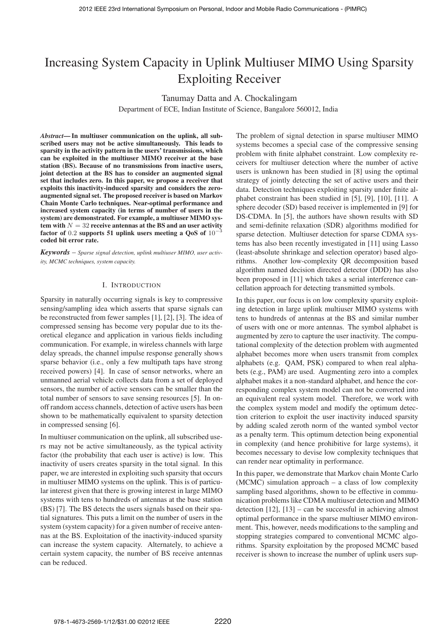# Increasing System Capacity in Uplink Multiuser MIMO Using Sparsity Exploiting Receiver

Tanumay Datta and A. Chockalingam

Department of ECE, Indian Institute of Science, Bangalore 560012, India

*Abstract***— In multiuser communication on the uplink, all subscribed users may not be active simultaneously. This leads to sparsity in the activity pattern in the users' transmissions, which can be exploited in the multiuser MIMO receiver at the base station (BS). Because of no transmissions from inactive users, joint detection at the BS has to consider an augmented signal set that includes zero. In this paper, we propose a receiver that exploits this inactivity-induced sparsity and considers the zeroaugmented signal set. The proposed receiver is based on Markov Chain Monte Carlo techniques. Near-optimal performance and increased system capacity (in terms of number of users in the system) are demonstrated. For example, a multiuser MIMO sys** $t$ em with  $N = 32$  receive antennas at the BS and an user activity **factor of** 0.2 **supports 51 uplink users meeting a QoS of** 10−<sup>3</sup> **coded bit error rate.**

*Keywords* – *Sparse signal detection, uplink multiuser MIMO, user activity, MCMC techniques, system capacity.*

#### I. INTRODUCTION

Sparsity in naturally occurring signals is key to compressive sensing/sampling idea which asserts that sparse signals can be reconstructed from fewer samples [1], [2], [3]. The idea of compressed sensing has become very popular due to its theoretical elegance and application in various fields including communication. For example, in wireless channels with large delay spreads, the channel impulse response generally shows sparse behavior (i.e., only a few multipath taps have strong received powers) [4]. In case of sensor networks, where an unmanned aerial vehicle collects data from a set of deployed sensors, the number of active sensors can be smaller than the total number of sensors to save sensing resources [5]. In onoff random access channels, detection of active users has been shown to be mathematically equivalent to sparsity detection in compressed sensing [6].

In multiuser communication on the uplink, all subscribed users may not be active simultaneously, as the typical activity factor (the probability that each user is active) is low. This inactivity of users creates sparsity in the total signal. In this paper, we are interested in exploiting such sparsity that occurs in multiuser MIMO systems on the uplink. This is of particular interest given that there is growing interest in large MIMO systems with tens to hundreds of antennas at the base station (BS) [7]. The BS detects the users signals based on their spatial signatures. This puts a limit on the number of users in the system (system capacity) for a given number of receive antennas at the BS. Exploitation of the inactivity-induced sparsity can increase the system capacity. Alternately, to achieve a certain system capacity, the number of BS receive antennas can be reduced.

The problem of signal detection in sparse multiuser MIMO systems becomes a special case of the compressive sensing problem with finite alphabet constraint. Low complexity receivers for multiuser detection where the number of active users is unknown has been studied in [8] using the optimal strategy of jointly detecting the set of active users and their data. Detection techniques exploiting sparsity under finite alphabet constraint has been studied in [5], [9], [10], [11]. A sphere decoder (SD) based receiver is implemented in [9] for DS-CDMA. In [5], the authors have shown results with SD and semi-definite relaxation (SDR) algorithms modified for sparse detection. Multiuser detection for sparse CDMA systems has also been recently investigated in [11] using Lasso (least-absolute shrinkage and selection operator) based algorithms. Another low-complexity QR decomposition based algorithm named decision directed detector (DDD) has also been proposed in [11] which takes a serial interference cancellation approach for detecting transmitted symbols.

In this paper, our focus is on low complexity sparsity exploiting detection in large uplink multiuser MIMO systems with tens to hundreds of antennas at the BS and similar number of users with one or more antennas. The symbol alphabet is augmented by zero to capture the user inactivity. The computational complexity of the detection problem with augmented alphabet becomes more when users transmit from complex alphabets (e.g. QAM, PSK) compared to when real alphabets (e.g., PAM) are used. Augmenting zero into a complex alphabet makes it a non-standard alphabet, and hence the corresponding complex system model can not be converted into an equivalent real system model. Therefore, we work with the complex system model and modify the optimum detection criterion to exploit the user inactivity induced sparsity by adding scaled zeroth norm of the wanted symbol vector as a penalty term. This optimum detection being exponential in complexity (and hence prohibitive for large systems), it becomes necessary to devise low complexity techniques that can render near optimality in performance.

In this paper, we demonstrate that Markov chain Monte Carlo (MCMC) simulation approach – a class of low complexity sampling based algorithms, shown to be effective in communication problems like CDMA multiuser detection and MIMO detection [12], [13] – can be successful in achieving almost optimal performance in the sparse multiuser MIMO environment. This, however, needs modifications to the sampling and stopping strategies compared to conventional MCMC algorithms. Sparsity exploitation by the proposed MCMC based receiver is shown to increase the number of uplink users sup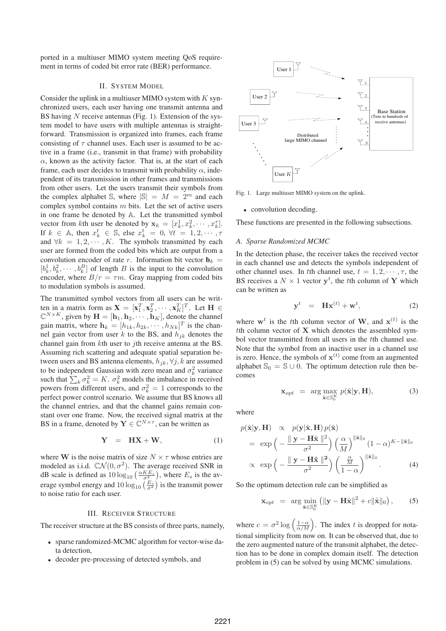ported in a multiuser MIMO system meeting QoS requirement in terms of coded bit error rate (BER) performance.

### II. SYSTEM MODEL

Consider the uplink in a multiuser MIMO system with  $K$  synchronized users, each user having one transmit antenna and BS having  $N$  receive antennas (Fig. 1). Extension of the system model to have users with multiple antennas is straightforward. Transmission is organized into frames, each frame consisting of  $\tau$  channel uses. Each user is assumed to be active in a frame (i.e., transmit in that frame) with probability  $\alpha$ , known as the activity factor. That is, at the start of each frame, each user decides to transmit with probability  $\alpha$ , independent of its transmission in other frames and transmissions from other users. Let the users transmit their symbols from the complex alphabet S, where  $|\mathbb{S}| = M = 2^m$  and each complex symbol contains  $m$  bits. Let the set of active users in one frame be denoted by  $A$ . Let the transmitted symbol vector from kth user be denoted by  $\mathbf{x}_k = [x_k^1, x_k^2, \cdots, x_k^T]$ . If  $k \in \mathbb{A}$ , then  $x_k^t \in \mathbb{S}$ , else  $x_k^t = 0$ ,  $\forall t = 1, 2, \dots, \tau$ and  $\forall k = 1, 2, \dots, K$ . The symbols transmitted by each user are formed from the coded bits which are output from a convolution encoder of rate r. Information bit vector  $\mathbf{b}_k =$  $[b_k^1, b_k^2, \cdots, b_k^B]$  of length B is the input to the convolution encoder, where  $B/r = \tau m$ . Gray mapping from coded bits to modulation symbols is assumed.

The transmitted symbol vectors from all users can be written in a matrix form as  $\mathbf{X} = [\mathbf{x}_1^T, \mathbf{x}_2^T, \cdots, \mathbf{x}_K^T]^T$ . Let  $\mathbf{H} \in \mathbb{R}^{N \times K}$  $\mathbb{C}^{N \times K}$ , given by  $\mathbf{H} = [\mathbf{h}_1, \mathbf{h}_2, \cdots, \mathbf{h}_K]$ , denote the channel gain matrix, where  $\mathbf{h}_k = [h_{1k}, h_{2k}, \cdots, h_{Nk}]^T$  is the channel gain vector from user  $k$  to the BS, and  $h_{jk}$  denotes the channel gain from  $k$ th user to  $j$ th receive antenna at the BS. Assuming rich scattering and adequate spatial separation between users and BS antenna elements,  $h_{ik}$ ,  $\forall j, k$  are assumed to be independent Gaussian with zero mean and  $\sigma_k^2$  variance such that  $\sum_{k} \sigma_k^2 = K$ .  $\sigma_k^2$  models the imbalance in received powers from different users, and  $\sigma_k^2 = 1$  corresponds to the perfect power control scenario. We assume that BS knows all the channel entries, and that the channel gains remain constant over one frame. Now, the received signal matrix at the BS in a frame, denoted by  $Y \in \mathbb{C}^{N \times \tau}$ , can be written as

$$
Y = HX + W, \tag{1}
$$

where **W** is the noise matrix of size  $N \times \tau$  whose entries are modeled as i.i.d.  $\mathbb{C}\mathcal{N}(0, \sigma^2)$ . The average received SNR in dB scale is defined as  $10 \log_{10} \left( \frac{\alpha K E_s}{\sigma^2} \right)$ , where  $E_s$  is the average symbol energy and  $10\log_{10}\left(\frac{E_s}{\sigma^2}\right)$  is the transmit power to noise ratio for each user.

### III. RECEIVER STRUCTURE

The receiver structure at the BS consists of three parts, namely,

- <sup>∙</sup> sparse randomized-MCMC algorithm for vector-wise data detection,
- <sup>∙</sup> decoder pre-processing of detected symbols, and



Fig. 1. Large multiuser MIMO system on the uplink.

<sup>∙</sup> convolution decoding.

These functions are presented in the following subsections.

### *A. Sparse Randomized MCMC*

In the detection phase, the receiver takes the received vector in each channel use and detects the symbols independent of other channel uses. In the channel use,  $t = 1, 2, \dots, \tau$ , the BS receives a  $N \times 1$  vector  $y^t$ , the *t*th column of **Y** which can be written as

$$
\mathbf{y}^t = \mathbf{H}\mathbf{x}^{(t)} + \mathbf{w}^t, \tag{2}
$$

where  $\mathbf{w}^t$  is the the column vector of **W**, and  $\mathbf{x}^{(t)}$  is the th column vector of **X** which denotes the assembled symbol vector transmitted from all users in the t<sup>th</sup> channel use. Note that the symbol from an inactive user in a channel use is zero. Hence, the symbols of  $\mathbf{x}^{(t)}$  come from an augmented alphabet  $\mathbb{S}_0 = \mathbb{S} \cup \mathbb{O}$ . The optimum detection rule then becomes

$$
\mathbf{x}_{opt} = \arg \max_{\hat{\mathbf{x}} \in \mathbb{S}_0^K} p(\hat{\mathbf{x}} | \mathbf{y}, \mathbf{H}), \tag{3}
$$

where

$$
p(\hat{\mathbf{x}}|\mathbf{y}, \mathbf{H}) \propto p(\mathbf{y}|\hat{\mathbf{x}}, \mathbf{H}) p(\hat{\mathbf{x}})
$$
  
=  $\exp\left(-\frac{\|\mathbf{y} - \mathbf{H}\hat{\mathbf{x}}\|^2}{\sigma^2}\right) \left(\frac{\alpha}{M}\right)^{\|\hat{\mathbf{x}}\|_0} (1 - \alpha)^{K - \|\hat{\mathbf{x}}\|_0}$   
  $\propto \exp\left(-\frac{\|\mathbf{y} - \mathbf{H}\hat{\mathbf{x}}\|^2}{\sigma^2}\right) \left(\frac{\frac{\alpha}{M}}{1 - \alpha}\right)^{\|\hat{\mathbf{x}}\|_0}.$  (4)

So the optimum detection rule can be simplified as

$$
\mathbf{x}_{opt} = \arg \min_{\hat{\mathbf{x}} \in \mathbb{S}_0^K} \left( \|\mathbf{y} - \mathbf{H}\hat{\mathbf{x}}\|^2 + c \|\hat{\mathbf{x}}\|_0 \right), \tag{5}
$$

where  $c = \sigma^2 \log \left( \frac{1-\alpha}{\alpha/M} \right)$ . The index t is dropped for notational simplicity from now on. It can be observed that, due to the zero augmented nature of the transmit alphabet, the detection has to be done in complex domain itself. The detection problem in (5) can be solved by using MCMC simulations.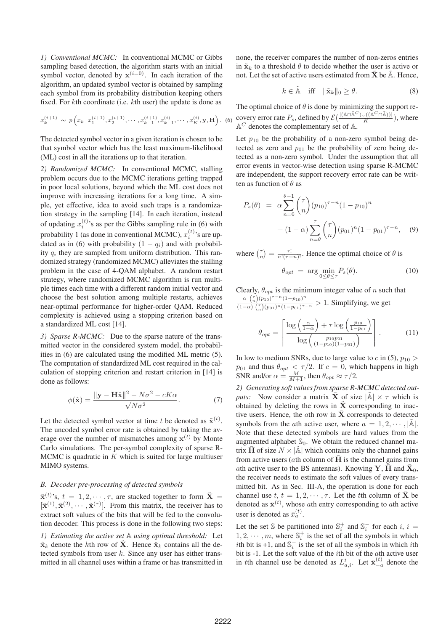*1) Conventional MCMC:* In conventional MCMC or Gibbs sampling based detection, the algorithm starts with an initial symbol vector, denoted by  $x^{(i=0)}$ . In each iteration of the algorithm, an updated symbol vector is obtained by sampling each symbol from its probability distribution keeping others fixed. For  $k$ th coordinate (i.e.  $k$ th user) the update is done as

$$
x_k^{(i+1)} \sim p\left(x_k \,|\, x_1^{(i+1)}, x_2^{(i+1)}, \cdots, x_{k-1}^{(i+1)}, x_{k+1}^{(i)}, \cdots, x_K^{(i)}, \mathbf{y}, \mathbf{H}\right). \tag{6}
$$

The detected symbol vector in a given iteration is chosen to be that symbol vector which has the least maximum-likelihood (ML) cost in all the iterations up to that iteration.

*2) Randomized MCMC:* In conventional MCMC, stalling problem occurs due to the MCMC iterations getting trapped in poor local solutions, beyond which the ML cost does not improve with increasing iterations for a long time. A simple, yet effective, idea to avoid such traps is a randomization strategy in the sampling [14]. In each iteration, instead of updating  $x_i^{(t)}$ 's as per the Gibbs sampling rule in (6) with probability 1 (as done in conventional MCMC),  $x_i^{(t)}$ 's are updated as in (6) with probability  $(1 - q_i)$  and with probability  $q_i$  they are sampled from uniform distribution. This randomized strategy (randomized MCMC) alleviates the stalling problem in the case of 4-QAM alphabet. A random restart strategy, where randomized MCMC algorithm is run multiple times each time with a different random initial vector and choose the best solution among multiple restarts, achieves near-optimal performance for higher-order QAM. Reduced complexity is achieved using a stopping criterion based on a standardized ML cost [14].

*3) Sparse R-MCMC:* Due to the sparse nature of the transmitted vector in the considered system model, the probabilities in (6) are calculated using the modified ML metric (5). The computation of standardized ML cost required in the calculation of stopping criterion and restart criterion in [14] is done as follows:

$$
\phi(\hat{\mathbf{x}}) = \frac{\|\mathbf{y} - \mathbf{H}\hat{\mathbf{x}}\|^2 - N\sigma^2 - cK\alpha}{\sqrt{N}\sigma^2}.
$$
 (7)

Let the detected symbol vector at time t be denoted as  $\tilde{\mathbf{x}}^{(t)}$ . The uncoded symbol error rate is obtained by taking the average over the number of mismatches among  $\mathbf{x}^{(t)}$  by Monte Carlo simulations. The per-symbol complexity of sparse R-MCMC is quadratic in  $K$  which is suited for large multiuser MIMO systems.

## *B. Decoder pre-processing of detected symbols*

 $\tilde{\mathbf{x}}^{(t)}$ 's,  $t = 1, 2, \dots, \tau$ , are stacked together to form  $\tilde{\mathbf{X}} =$  $[\tilde{\mathbf{x}}^{(1)}, \tilde{\mathbf{x}}^{(2)}, \cdots, \tilde{\mathbf{x}}^{(\tau)}]$ . From this matrix, the receiver has to extract soft values of the bits that will be fed to the convolution decoder. This process is done in the following two steps:

*1) Estimating the active set using optimal threshold:* Let  $\hat{\mathbf{x}}_k$  denote the kth row of  $\tilde{\mathbf{X}}$ . Hence  $\hat{\mathbf{x}}_k$  contains all the detected symbols from user  $k$ . Since any user has either transmitted in all channel uses within a frame or has transmitted in none, the receiver compares the number of non-zeros entries in  $\tilde{\mathbf{x}}_k$  to a threshold  $\theta$  to decide whether the user is active or not. Let the set of active users estimated from  $\tilde{\mathbf{X}}$  be  $\tilde{\mathbb{A}}$ . Hence,

$$
k \in \tilde{\mathbb{A}} \quad \text{iff} \quad \|\tilde{\mathbf{x}}_k\|_0 \ge \theta. \tag{8}
$$

 $(6)$  covery error rate  $P_s$ , defined by  $\mathcal{E}(\frac{|\langle \mathbb{A} \cap \tilde{\mathbb{A}}^C \rangle \cup (|\mathbb{A}^C \cap \tilde{\mathbb{A}}) \rangle|}{K})$ , where The optimal choice of  $\theta$  is done by minimizing the support re- $\mathbb{A}^C$  denotes the complementary set of  $\mathbb{A}$ .

Let  $p_{10}$  be the probability of a non-zero symbol being detected as zero and  $p_{01}$  be the probability of zero being detected as a non-zero symbol. Under the assumption that all error events in vector-wise detection using sparse R-MCMC are independent, the support recovery error rate can be written as function of  $\theta$  as

$$
P_s(\theta) = \alpha \sum_{n=0}^{\theta-1} {(\tau \choose n} (p_{10})^{\tau-n} (1-p_{10})^n + (1-\alpha) \sum_{n=\theta}^{\tau} {(\tau \choose n} (p_{01})^n (1-p_{01})^{\tau-n}, \quad (9)
$$

where  $\binom{\tau}{n} = \frac{\tau!}{n!(\tau-n)!}$ . Hence the optimal choice of  $\theta$  is

$$
\theta_{opt} = \arg \min_{0 \le \theta \le \tau} P_s(\theta). \tag{10}
$$

Clearly,  $\theta_{opt}$  is the minimum integer value of *n* such that  $\alpha \binom{\tau}{n} (p_{10})^{\tau-n} (1-p_{10})^n$  $\frac{a}{(1-\alpha)\binom{r}{n}(p_1)(r_1-r_1)}$  > 1. Simplifying, we get

$$
\theta_{opt} = \left[ \frac{\log \left( \frac{\alpha}{1 - \alpha} \right) + \tau \log \left( \frac{p_{10}}{1 - p_{01}} \right)}{\log \left( \frac{p_{10} p_{01}}{(1 - p_{10})(1 - p_{01})} \right)} \right].
$$
 (11)

In low to medium SNRs, due to large value to  $c$  in (5),  $p_{10}$  >  $p_{01}$  and thus  $\theta_{opt} < \tau/2$ . If  $c = 0$ , which happens in high SNR and/or  $\alpha = \frac{M}{M+1}$ , then  $\theta_{opt} \approx \tau/2$ .

*2) Generating soft values from sparse R-MCMC detected outputs:* Now consider a matrix  $\bar{\mathbf{X}}$  of size  $|\tilde{A}| \times \tau$  which is obtained by deleting the rows in  $\tilde{\mathbf{X}}$  corresponding to inactive users. Hence, the ath row in  $\bar{\mathbf{X}}$  corresponds to detected symbols from the ath active user, where  $a = 1, 2, \dots, |\mathbb{A}|$ . Note that these detected symbols are hard values from the augmented alphabet  $\mathbb{S}_0$ . We obtain the reduced channel matrix  $\bar{H}$  of size  $N \times |\tilde{A}|$  which contains only the channel gains from active users ( $at$ h column of  $\bf{H}$  is the channel gains from ath active user to the BS antennas). Knowing **Y**, **H** and  $\mathbf{X}_0$ , the receiver needs to estimate the soft values of every transmitted bit. As in Sec. III-A, the operation is done for each channel use  $t, t = 1, 2, \cdots, \tau$ . Let the the column of  $\bar{\mathbf{X}}$  be denoted as  $\bar{\mathbf{x}}^{(t)}$ , whose *a*th entry corresponding to *a*th active user is denoted as  $\bar{x}_a^{(t)}$ .

Let the set S be partitioned into  $\mathbb{S}_i^+$  and  $\mathbb{S}_i^-$  for each  $i, i =$  $1, 2, \dots, m$ , where  $\mathbb{S}_i^+$  is the set of all the symbols in which *i*th bit is +1, and  $\mathbb{S}_i^-$  is the set of all the symbols in which *i*th bit is  $-1$ . Let the soft value of the *i*th bit of the  $\alpha$ th active user in the channel use be denoted as  $L_{a,i}^t$ . Let  $\bar{\mathbf{x}}_{-a}^{(t)}$  denote the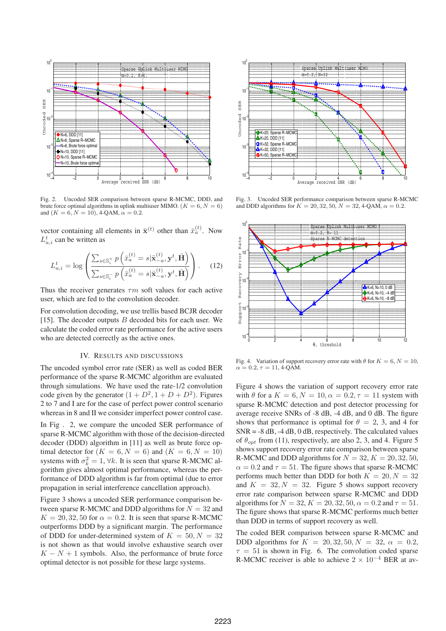

Fig. 2. Uncoded SER comparison between sparse R-MCMC, DDD, and brute force optimal algorithms in uplink multiuser MIMO. ( $K = 6, N = 6$ ) and  $(K = 6, N = 10)$ , 4-QAM,  $\alpha = 0.2$ .

vector containing all elements in  $\bar{\mathbf{x}}^{(t)}$  other than  $\bar{x}_a^{(t)}$ . Now  $L_{a,i}^t$  can be written as

$$
L_{a,i}^t = \log \left( \frac{\sum_{s \in \mathbb{S}_i^+} p\left(\bar{x}_a^{(t)} = s | \bar{\mathbf{x}}_{-a}^{(t)}, \mathbf{y}^t, \bar{\mathbf{H}}\right)}{\sum_{s \in \mathbb{S}_i^-} p\left(\bar{x}_a^{(t)} = s | \bar{\mathbf{x}}_{-a}^{(t)}, \mathbf{y}^t, \bar{\mathbf{H}}\right)} \right).
$$
 (12)

Thus the receiver generates  $\tau m$  soft values for each active user, which are fed to the convolution decoder.

For convolution decoding, we use trellis based BCJR decoder [15]. The decoder outputs  $B$  decoded bits for each user. We calculate the coded error rate performance for the active users who are detected correctly as the active ones.

## IV. RESULTS AND DISCUSSIONS

The uncoded symbol error rate (SER) as well as coded BER performance of the sparse R-MCMC algorithm are evaluated through simulations. We have used the rate-1/2 convolution code given by the generator  $(1 + D^2, 1 + D + D^2)$ . Figures 2 to 7 and I are for the case of perfect power control scenario whereas in 8 and II we consider imperfect power control case.

In Fig . 2, we compare the uncoded SER performance of sparse R-MCMC algorithm with those of the decision-directed decoder (DDD) algorithm in [11] as well as brute force optimal detector for  $(K = 6, N = 6)$  and  $(K = 6, N = 10)$ systems with  $\sigma_k^2 = 1$ ,  $\forall k$ . It is seen that sparse R-MCMC algorithm gives almost optimal performance, whereas the performance of DDD algorithm is far from optimal (due to error propagation in serial interference cancellation approach).

Figure 3 shows a uncoded SER performance comparison between sparse R-MCMC and DDD algorithms for  $N = 32$  and  $K = 20, 32, 50$  for  $\alpha = 0.2$ . It is seen that sparse R-MCMC outperforms DDD by a significant margin. The performance of DDD for under-determined system of  $K = 50, N = 32$ is not shown as that would involve exhaustive search over  $K - N + 1$  symbols. Also, the performance of brute force optimal detector is not possible for these large systems.



Fig. 3. Uncoded SER performance comparison between sparse R-MCMC and DDD algorithms for  $K = 20, 32, 50, N = 32, 4$ -QAM,  $\alpha = 0.2$ .



Fig. 4. Variation of support recovery error rate with  $\theta$  for  $K = 6, N = 10$ ,  $\alpha = 0.2, \tau = 11, 4$ -QAM.

Figure 4 shows the variation of support recovery error rate with  $\theta$  for a  $K = 6, N = 10, \alpha = 0.2, \tau = 11$  system with sparse R-MCMC detection and post detector processing for average receive SNRs of -8 dB, -4 dB, and 0 dB. The figure shows that performance is optimal for  $\theta = 2$ , 3, and 4 for  $SNR = -8$  dB,  $-4$  dB, 0 dB, respectively. The calculated values of  $\theta_{\text{ont}}$  from (11), respectively, are also 2, 3, and 4. Figure 5 shows support recovery error rate comparison between sparse R-MCMC and DDD algorithms for  $N = 32, K = 20, 32, 50,$  $\alpha = 0.2$  and  $\tau = 51$ . The figure shows that sparse R-MCMC performs much better than DDD for both  $K = 20, N = 32$ and  $K = 32, N = 32$ . Figure 5 shows support recovery error rate comparison between sparse R-MCMC and DDD algorithms for  $N = 32, K = 20, 32, 50, \alpha = 0.2$  and  $\tau = 51$ . The figure shows that sparse R-MCMC performs much better than DDD in terms of support recovery as well.

The coded BER comparison between sparse R-MCMC and DDD algorithms for  $K = 20, 32, 50, N = 32, \alpha = 0.2$ ,  $\tau = 51$  is shown in Fig. 6. The convolution coded sparse R-MCMC receiver is able to achieve  $2 \times 10^{-4}$  BER at av-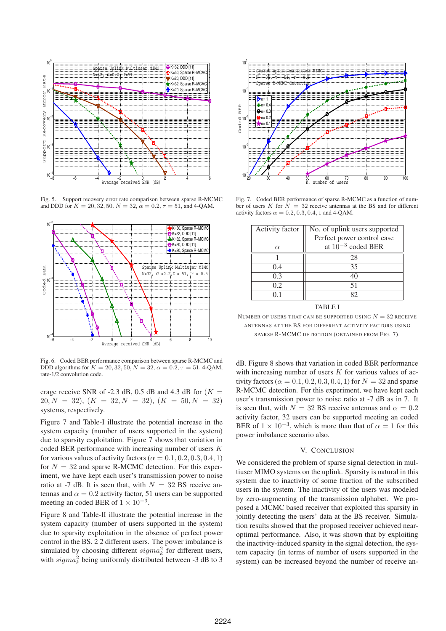

Fig. 5. Support recovery error rate comparison between sparse R-MCMC and DDD for  $K = 20, 32, 50, N = 32, \alpha = 0.2, \tau = 51, \text{ and } 4\text{-QAM}.$ 



Fig. 6. Coded BER performance comparison between sparse R-MCMC and DDD algorithms for  $K = 20, 32, 50, N = 32, \alpha = 0.2, \tau = 51, 4$ -QAM, rate-1/2 convolution code.

erage receive SNR of -2.3 dB, 0.5 dB and 4.3 dB for  $(K =$  $20, N = 32, (K = 32, N = 32), (K = 50, N = 32)$ systems, respectively.

Figure 7 and Table-I illustrate the potential increase in the system capacity (number of users supported in the system) due to sparsity exploitation. Figure 7 shows that variation in coded BER performance with increasing number of users  $K$ for various values of activity factors ( $\alpha = 0.1, 0.2, 0.3, 0.4, 1$ ) for  $N = 32$  and sparse R-MCMC detection. For this experiment, we have kept each user's transmission power to noise ratio at -7 dB. It is seen that, with  $N = 32$  BS receive antennas and  $\alpha = 0.2$  activity factor, 51 users can be supported meeting an coded BER of  $1 \times 10^{-3}$ .

Figure 8 and Table-II illustrate the potential increase in the system capacity (number of users supported in the system) due to sparsity exploitation in the absence of perfect power control in the BS. 2 2 different users. The power imbalance is simulated by choosing different  $sigma_k^2$  for different users, with  $sigma_k^2$  being uniformly distributed between -3 dB to 3



Fig. 7. Coded BER performance of sparse R-MCMC as a function of number of users  $K$  for  $N = 32$  receive antennas at the BS and for different activity factors  $\alpha = 0.2, 0.3, 0.4, 1$  and 4-OAM.

| Activity factor | No. of uplink users supported |
|-----------------|-------------------------------|
|                 | Perfect power control case    |
| $\alpha$        | at $10^{-3}$ coded BER        |
|                 | 28                            |
| 0.4             | 35                            |
| 0.3             | 40                            |
| 0.2             | 51                            |
|                 |                               |

## TABLE I

NUMBER OF USERS THAT CAN BE SUPPORTED USING  $N = 32$  receive ANTENNAS AT THE BS FOR DIFFERENT ACTIVITY FACTORS USING SPARSE R-MCMC DETECTION (OBTAINED FROM FIG. 7).

dB. Figure 8 shows that variation in coded BER performance with increasing number of users  $K$  for various values of activity factors ( $\alpha = 0.1, 0.2, 0.3, 0.4, 1$ ) for  $N = 32$  and sparse R-MCMC detection. For this experiment, we have kept each user's transmission power to noise ratio at -7 dB as in 7. It is seen that, with  $N = 32$  BS receive antennas and  $\alpha = 0.2$ activity factor, 32 users can be supported meeting an coded BER of  $1 \times 10^{-3}$ , which is more than that of  $\alpha = 1$  for this power imbalance scenario also.

#### V. CONCLUSION

We considered the problem of sparse signal detection in multiuser MIMO systems on the uplink. Sparsity is natural in this system due to inactivity of some fraction of the subscribed users in the system. The inactivity of the users was modeled by zero-augmenting of the transmission alphabet. We proposed a MCMC based receiver that exploited this sparsity in jointly detecting the users' data at the BS receiver. Simulation results showed that the proposed receiver achieved nearoptimal performance. Also, it was shown that by exploiting the inactivity-induced sparsity in the signal detection, the system capacity (in terms of number of users supported in the system) can be increased beyond the number of receive an-